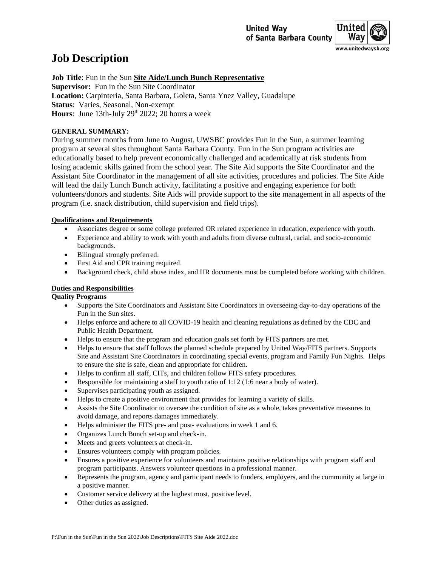

# **Job Description**

**Job Title**: Fun in the Sun **Site Aide/Lunch Bunch Representative Supervisor:** Fun in the Sun Site Coordinator **Location:** Carpinteria, Santa Barbara, Goleta, Santa Ynez Valley, Guadalupe **Status**: Varies, Seasonal, Non-exempt Hours: June 13th-July 29<sup>th</sup> 2022; 20 hours a week

# **GENERAL SUMMARY:**

During summer months from June to August, UWSBC provides Fun in the Sun, a summer learning program at several sites throughout Santa Barbara County. Fun in the Sun program activities are educationally based to help prevent economically challenged and academically at risk students from losing academic skills gained from the school year. The Site Aid supports the Site Coordinator and the Assistant Site Coordinator in the management of all site activities, procedures and policies. The Site Aide will lead the daily Lunch Bunch activity, facilitating a positive and engaging experience for both volunteers/donors and students. Site Aids will provide support to the site management in all aspects of the program (i.e. snack distribution, child supervision and field trips).

## **Qualifications and Requirements**

- Associates degree or some college preferred OR related experience in education, experience with youth.
- Experience and ability to work with youth and adults from diverse cultural, racial, and socio-economic backgrounds.
- Bilingual strongly preferred.
- First Aid and CPR training required.
- Background check, child abuse index, and HR documents must be completed before working with children.

# **Duties and Responsibilities**

## **Quality Programs**

- Supports the Site Coordinators and Assistant Site Coordinators in overseeing day-to-day operations of the Fun in the Sun sites.
- Helps enforce and adhere to all COVID-19 health and cleaning regulations as defined by the CDC and Public Health Department.
- Helps to ensure that the program and education goals set forth by FITS partners are met.
- Helps to ensure that staff follows the planned schedule prepared by United Way/FITS partners. Supports Site and Assistant Site Coordinators in coordinating special events, program and Family Fun Nights. Helps to ensure the site is safe, clean and appropriate for children.
- Helps to confirm all staff, CITs, and children follow FITS safety procedures.
- Responsible for maintaining a staff to youth ratio of  $1:12$  (1:6 near a body of water).
- Supervises participating youth as assigned.
- Helps to create a positive environment that provides for learning a variety of skills.
- Assists the Site Coordinator to oversee the condition of site as a whole, takes preventative measures to avoid damage, and reports damages immediately.
- Helps administer the FITS pre- and post- evaluations in week 1 and 6.
- Organizes Lunch Bunch set-up and check-in.
- Meets and greets volunteers at check-in.
- Ensures volunteers comply with program policies.
- Ensures a positive experience for volunteers and maintains positive relationships with program staff and program participants. Answers volunteer questions in a professional manner.
- Represents the program, agency and participant needs to funders, employers, and the community at large in a positive manner.
- Customer service delivery at the highest most, positive level.
- Other duties as assigned.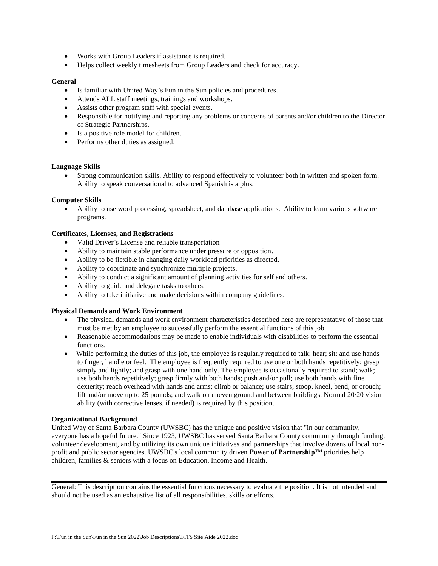- Works with Group Leaders if assistance is required.
- Helps collect weekly timesheets from Group Leaders and check for accuracy.

#### **General**

- Is familiar with United Way's Fun in the Sun policies and procedures.
- Attends ALL staff meetings, trainings and workshops.
- Assists other program staff with special events.
- Responsible for notifying and reporting any problems or concerns of parents and/or children to the Director of Strategic Partnerships.
- Is a positive role model for children.
- Performs other duties as assigned.

## **Language Skills**

• Strong communication skills. Ability to respond effectively to volunteer both in written and spoken form. Ability to speak conversational to advanced Spanish is a plus.

## **Computer Skills**

• Ability to use word processing, spreadsheet, and database applications. Ability to learn various software programs.

## **Certificates, Licenses, and Registrations**

- Valid Driver's License and reliable transportation
- Ability to maintain stable performance under pressure or opposition.
- Ability to be flexible in changing daily workload priorities as directed.
- Ability to coordinate and synchronize multiple projects.
- Ability to conduct a significant amount of planning activities for self and others.
- Ability to guide and delegate tasks to others.
- Ability to take initiative and make decisions within company guidelines.

#### **Physical Demands and Work Environment**

- The physical demands and work environment characteristics described here are representative of those that must be met by an employee to successfully perform the essential functions of this job
- Reasonable accommodations may be made to enable individuals with disabilities to perform the essential functions.
- While performing the duties of this job, the employee is regularly required to talk; hear; sit: and use hands to finger, handle or feel. The employee is frequently required to use one or both hands repetitively; grasp simply and lightly; and grasp with one hand only. The employee is occasionally required to stand; walk; use both hands repetitively; grasp firmly with both hands; push and/or pull; use both hands with fine dexterity; reach overhead with hands and arms; climb or balance; use stairs; stoop, kneel, bend, or crouch; lift and/or move up to 25 pounds; and walk on uneven ground and between buildings. Normal 20/20 vision ability (with corrective lenses, if needed) is required by this position.

#### **Organizational Background**

United Way of Santa Barbara County (UWSBC) has the unique and positive vision that "in our community, everyone has a hopeful future." Since 1923, UWSBC has served Santa Barbara County community through funding, volunteer development, and by utilizing its own unique initiatives and partnerships that involve dozens of local nonprofit and public sector agencies. UWSBC's local community driven **Power of Partnership™** priorities help children, families & seniors with a focus on Education, Income and Health.

General: This description contains the essential functions necessary to evaluate the position. It is not intended and should not be used as an exhaustive list of all responsibilities, skills or efforts.